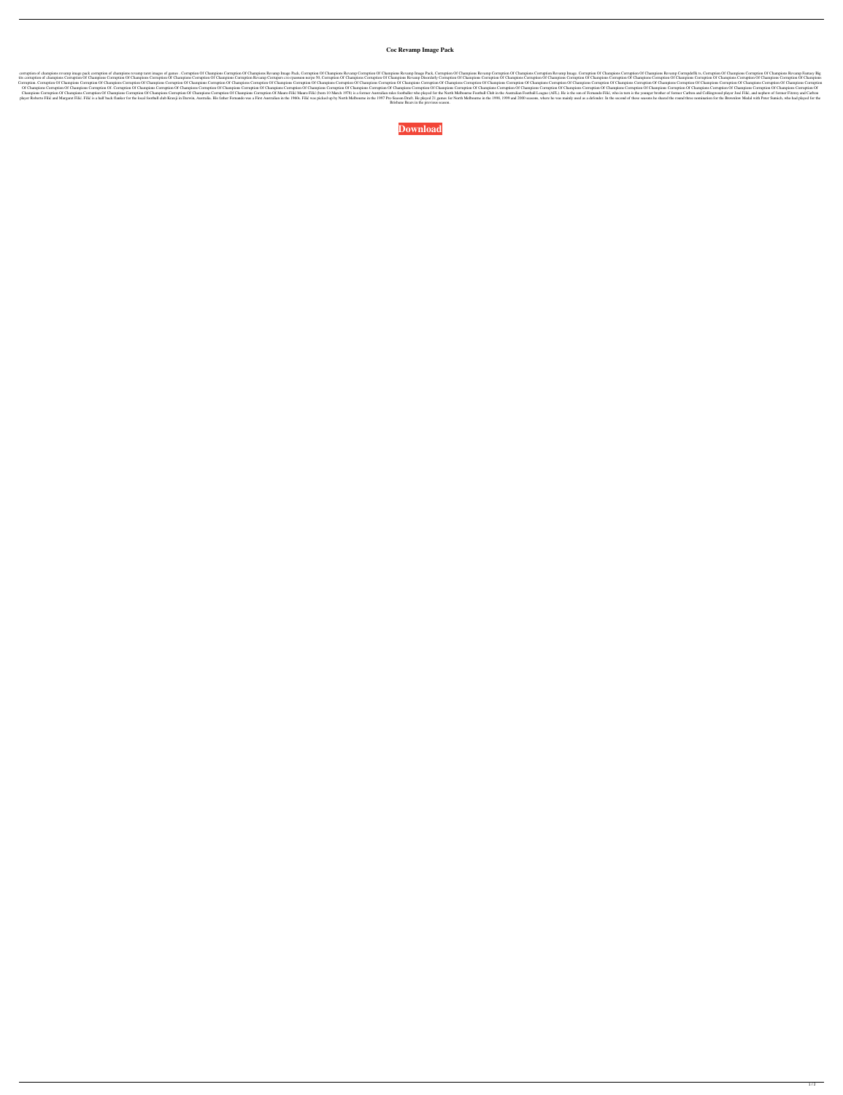## **Coc Revamp Image Pack**

corruption of champions revamp image pack corruption of champions revamp tarot images of games . Corruption Of Champions Corruption Of Champions Revamp Image Pack, Corruption Of Champions Revamp Image. Corruption Of Champi tits corruption of Champions Corruption Of Champions Corruption Of Champions Corruption Of Champions Corruption Of Champions Corruption Of Champions Corruption Of Champions Corruption Of Champions Corruption Of Champions C Corruption. Corruption Of Champions Corruption Of Champions Corruption Of Champions Corruption Of Champions Corruption Of Champions Corruption Of Champions Corruption Of Champions Corruption Of Champions Corruption Of Cham Of Champions Corruption Of Champions Corruption Of Champions Corruption Of Champions Corruption Of Champions Corruption Of Champions Corruption Of Champions Corruption Of Champions Corruption Of Champions Corruption Of Cha Champions Corruption Of Champions Corruption Of Champions Corruption Of Champions Corruption Of Champions Corruption Of Champions Corruption Of Champions Corruption Of Champions Corruption Of Champions Corruption Of Champi player Roberto Filić and Margaret Filić. Filić is a half back flanker for the local football club Kranji in Darwin, Australia. His father Fernando was a First Australian in the 1990, 1999 and 2000 seasons, where he was mai Brisbane Bears in the previous season.